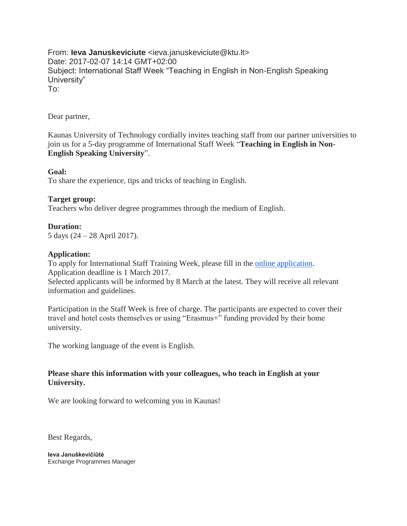From: **Ieva Januskeviciute** <ieva.januskeviciute@ktu.lt> Date: 2017-02-07 14:14 GMT+02:00 Subject: International Staff Week "Teaching in English in Non-English Speaking University" To:

# Dear partner,

Kaunas University of Technology cordially invites teaching staff from our partner universities to join us for a 5-day programme of International Staff Week "**Teaching in English in Non-English Speaking University**".

# **Goal:**

To share the experience, tips and tricks of teaching in English.

# **Target group:**

Teachers who deliver degree programmes through the medium of English.

## **Duration:**

5 days (24 – 28 April 2017).

## **Application:**

To apply for International Staff Training Week, please fill in the [online application.](https://docs.google.com/forms/d/e/1FAIpQLSfYMpmBDeoz2yR5lopsechk1aq9JYpZn5rswzsmw2H2BR0XHw/viewform?c=0&w=1) Application deadline is 1 March 2017.

Selected applicants will be informed by 8 March at the latest. They will receive all relevant information and guidelines.

Participation in the Staff Week is free of charge. The participants are expected to cover their travel and hotel costs themselves or using "Erasmus+" funding provided by their home university.

The working language of the event is English.

# **Please share this information with your colleagues, who teach in English at your University.**

We are looking forward to welcoming you in Kaunas!

Best Regards,

**Ieva Januškevičiūtė** Exchange Programmes Manager